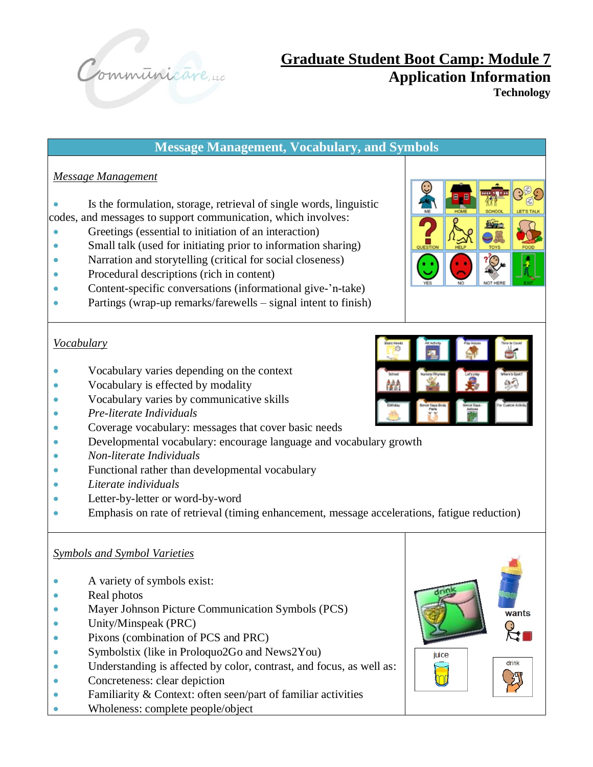

**Message Management, Vocabulary, and Symbols** *Message Management* Is the formulation, storage, retrieval of single words, linguistic codes, and messages to support communication, which involves: • Greetings (essential to initiation of an interaction) • Small talk (used for initiating prior to information sharing) • Narration and storytelling (critical for social closeness) • Procedural descriptions (rich in content) • Content-specific conversations (informational give-'n-take) • Partings (wrap-up remarks/farewells – signal intent to finish)

#### *Vocabulary*

- Vocabulary varies depending on the context
- Vocabulary is effected by modality
- Vocabulary varies by communicative skills
- *Pre-literate Individuals*
- Coverage vocabulary: messages that cover basic needs
- Developmental vocabulary: encourage language and vocabulary growth
- *Non-literate Individuals*
- Functional rather than developmental vocabulary
- *Literate individuals*
- Letter-by-letter or word-by-word
- Emphasis on rate of retrieval (timing enhancement, message accelerations, fatigue reduction)

#### *Symbols and Symbol Varieties*

- A variety of symbols exist:
- Real photos
- Mayer Johnson Picture Communication Symbols (PCS)
- Unity/Minspeak (PRC)
- Pixons (combination of PCS and PRC)
- Symbolstix (like in Proloquo2Go and News2You)
- Understanding is affected by color, contrast, and focus, as well as:
- Concreteness: clear depiction
- Familiarity & Context: often seen/part of familiar activities
- Wholeness: complete people/object



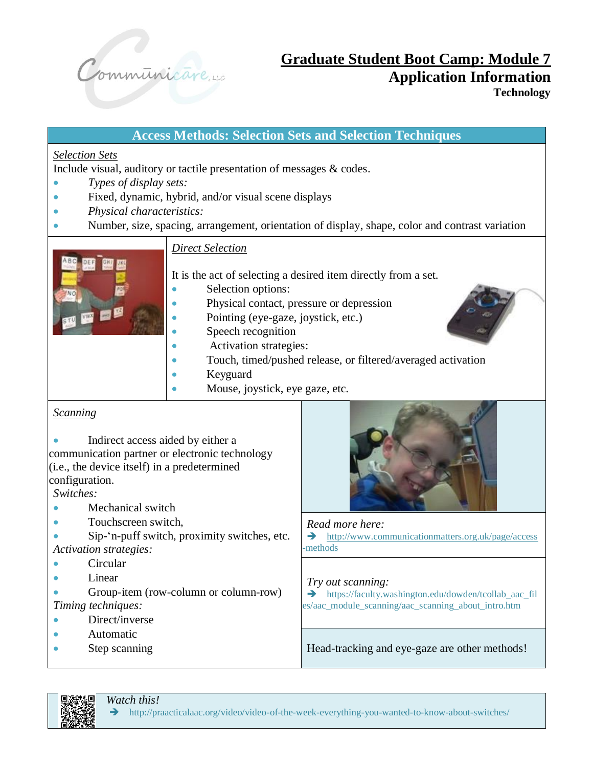

# **Access Methods: Selection Sets and Selection Techniques** *Selection Sets* Include visual, auditory or tactile presentation of messages & codes. • *Types of display sets:* • Fixed, dynamic, hybrid, and/or visual scene displays • *Physical characteristics:* • Number, size, spacing, arrangement, orientation of display, shape, color and contrast variation *Direct Selection* It is the act of selecting a desired item directly from a set. Selection options: • Physical contact, pressure or depression • Pointing (eye-gaze, joystick, etc.) Speech recognition Activation strategies: • Touch, timed/pushed release, or filtered/averaged activation • Keyguard Mouse, joystick, eye gaze, etc. Indirect access aided by either a Touchscreen switch. *Read more here:*

- Sip-'n-puff switch, proximity switches, etc. *Activation strategies:*
- 
- Group-item (row-column or column-row) *Timing techniques:*
- Direct/inverse
- Automatic
- Step scanning

➔ [http://www.communicationmatters.org.uk/page/access](http://www.communicationmatters.org.uk/page/access-methods) [-methods](http://www.communicationmatters.org.uk/page/access-methods)

#### *Try out scanning:*

➔ https://faculty.washington.edu/dowden/tcollab\_aac\_fil es/aac\_module\_scanning/aac\_scanning\_about\_intro.htm

Head-tracking and eye-gaze are other methods!



➔ http://praacticalaac.org/video/video-of-the-week-everything-you-wanted-to-know-about-switches/

### *Scanning*

communication partner or electronic technology (i.e., the device itself) in a predetermined configuration.

*Switches:*

- Mechanical switch
- 
- 
- Circular
- Linear



*Watch this!*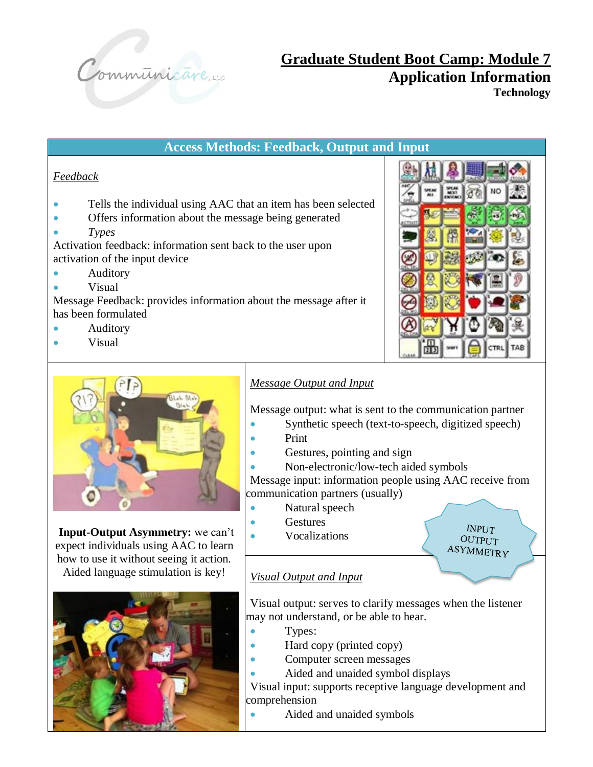

### **Access Methods: Feedback, Output and Input**

#### *Feedback*

- Tells the individual using AAC that an item has been selected
- Offers information about the message being generated
- *Types*

Activation feedback: information sent back to the user upon activation of the input device

- Auditory
- Visual

Message Feedback: provides information about the message after it has been formulated

- Auditory
- Visual



**INPUT OUTPUT ASYMMETRY** 



**Input-Output Asymmetry:** we can't expect individuals using AAC to learn how to use it without seeing it action. Aided language stimulation is key!



### *Message Output and Input*

Message output: what is sent to the communication partner

- Synthetic speech (text-to-speech, digitized speech)
- Print
- Gestures, pointing and sign
- Non-electronic/low-tech aided symbols

Message input: information people using AAC receive from communication partners (usually)

- Natural speech
	- **Gestures**
- **Vocalizations**

### *Visual Output and Input*

Visual output: serves to clarify messages when the listener may not understand, or be able to hear.

- Types:
- Hard copy (printed copy)
- Computer screen messages
- Aided and unaided symbol displays

Visual input: supports receptive language development and comprehension

• Aided and unaided symbols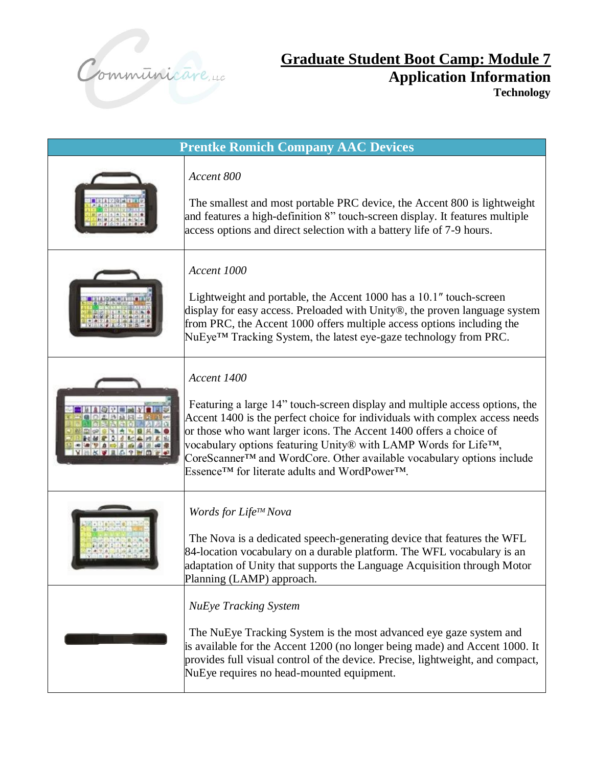

| <b>Prentke Romich Company AAC Devices</b> |                                                                                                                                                                                                                                                                                                                                                                                                                                            |  |
|-------------------------------------------|--------------------------------------------------------------------------------------------------------------------------------------------------------------------------------------------------------------------------------------------------------------------------------------------------------------------------------------------------------------------------------------------------------------------------------------------|--|
|                                           | Accent 800<br>The smallest and most portable PRC device, the Accent 800 is lightweight<br>and features a high-definition 8" touch-screen display. It features multiple<br>access options and direct selection with a battery life of 7-9 hours.                                                                                                                                                                                            |  |
|                                           | Accent 1000<br>Lightweight and portable, the Accent 1000 has a 10.1" touch-screen<br>display for easy access. Preloaded with Unity®, the proven language system<br>from PRC, the Accent 1000 offers multiple access options including the<br>NuEye <sup>TM</sup> Tracking System, the latest eye-gaze technology from PRC.                                                                                                                 |  |
|                                           | Accent 1400<br>Featuring a large 14" touch-screen display and multiple access options, the<br>Accent 1400 is the perfect choice for individuals with complex access needs<br>or those who want larger icons. The Accent 1400 offers a choice of<br>vocabulary options featuring Unity® with LAMP Words for Life™,<br>CoreScanner™ and WordCore. Other available vocabulary options include<br>Essence™ for literate adults and WordPower™. |  |
|                                           | Words for Life™ Nova<br>The Nova is a dedicated speech-generating device that features the WFL<br>84-location vocabulary on a durable platform. The WFL vocabulary is an<br>adaptation of Unity that supports the Language Acquisition through Motor<br>Planning (LAMP) approach.                                                                                                                                                          |  |
|                                           | <b>NuEye Tracking System</b><br>The NuEye Tracking System is the most advanced eye gaze system and<br>is available for the Accent 1200 (no longer being made) and Accent 1000. It<br>provides full visual control of the device. Precise, lightweight, and compact,<br>NuEye requires no head-mounted equipment.                                                                                                                           |  |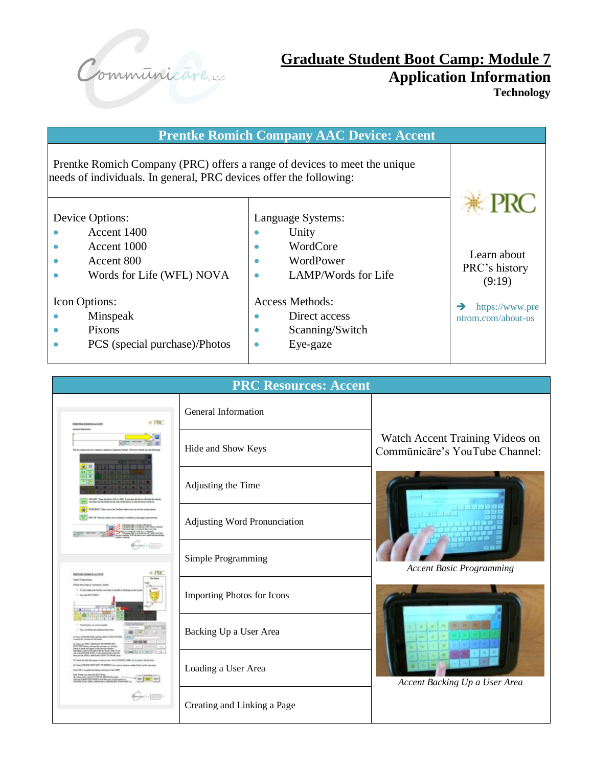

| <b>Prentke Romich Company AAC Device: Accent</b>                                                                                                |                                                                                 |                                        |  |  |
|-------------------------------------------------------------------------------------------------------------------------------------------------|---------------------------------------------------------------------------------|----------------------------------------|--|--|
| Prentke Romich Company (PRC) offers a range of devices to meet the unique<br>needs of individuals. In general, PRC devices offer the following: |                                                                                 | € PRC                                  |  |  |
| Device Options:<br>Accent 1400<br>Accent 1000<br>Accent 800<br>Words for Life (WFL) NOVA                                                        | Language Systems:<br>Unity<br>WordCore<br>WordPower<br>٠<br>LAMP/Words for Life | Learn about<br>PRC's history<br>(9:19) |  |  |
| <b>Icon Options:</b><br>Minspeak<br>Pixons<br>PCS (special purchase)/Photos                                                                     | Access Methods:<br>Direct access<br>Scanning/Switch<br>Eye-gaze                 | https://www.pre<br>ntrom.com/about-us  |  |  |

| <b>PRC Resources: Accent</b>                                                                                                      |                                   |                                                                   |  |  |
|-----------------------------------------------------------------------------------------------------------------------------------|-----------------------------------|-------------------------------------------------------------------|--|--|
| $*$ PRC<br><b><i>TRESTAE RIMBOR ACCENT</i></b><br>and lists<br>GN at GNY 31 year hote for a<br><b>RETTING ROBERT &amp; ALCOHO</b> | General Information               |                                                                   |  |  |
|                                                                                                                                   | Hide and Show Keys                | Watch Accent Training Videos on<br>Commūnicāre's YouTube Channel: |  |  |
|                                                                                                                                   | Adjusting the Time                |                                                                   |  |  |
|                                                                                                                                   | Adjusting Word Pronunciation      |                                                                   |  |  |
|                                                                                                                                   | Simple Programming                | <b>Accent Basic Programming</b>                                   |  |  |
|                                                                                                                                   | <b>Importing Photos for Icons</b> |                                                                   |  |  |
|                                                                                                                                   | Backing Up a User Area            |                                                                   |  |  |
|                                                                                                                                   | Loading a User Area               | Accent Backing Up a User Area                                     |  |  |
|                                                                                                                                   | Creating and Linking a Page       |                                                                   |  |  |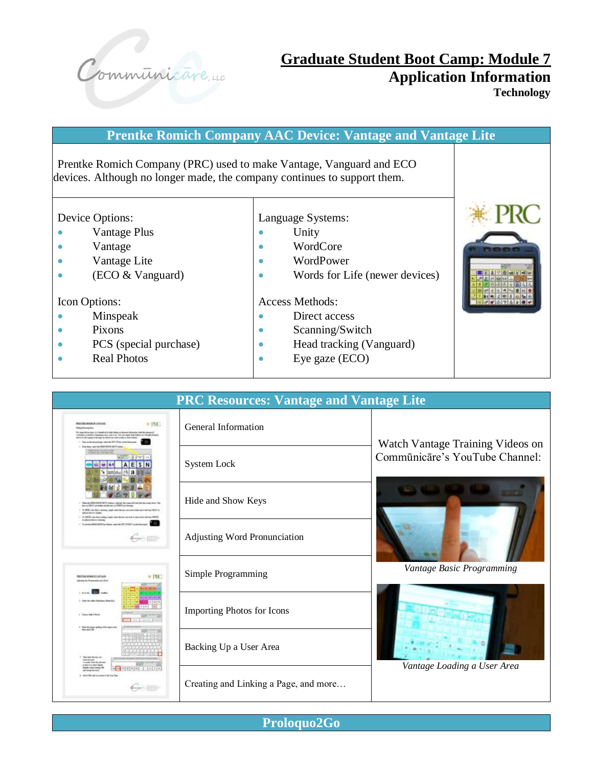

**Prentke Romich Company AAC Device: Vantage and Vantage Lite** Prentke Romich Company (PRC) used to make Vantage, Vanguard and ECO devices. Although no longer made, the company continues to support them. Device Options: • Vantage Plus • Vantage • Vantage Lite • (ECO & Vanguard) Icon Options: Language Systems: • Unity • WordCore • WordPower • Words for Life (newer devices) Access Methods: • Direct access • Scanning/Switch • Head tracking (Vanguard)



• Eye gaze (ECO)



- Minspeak
- Pixons
- PCS (special purchase)
- Real Photos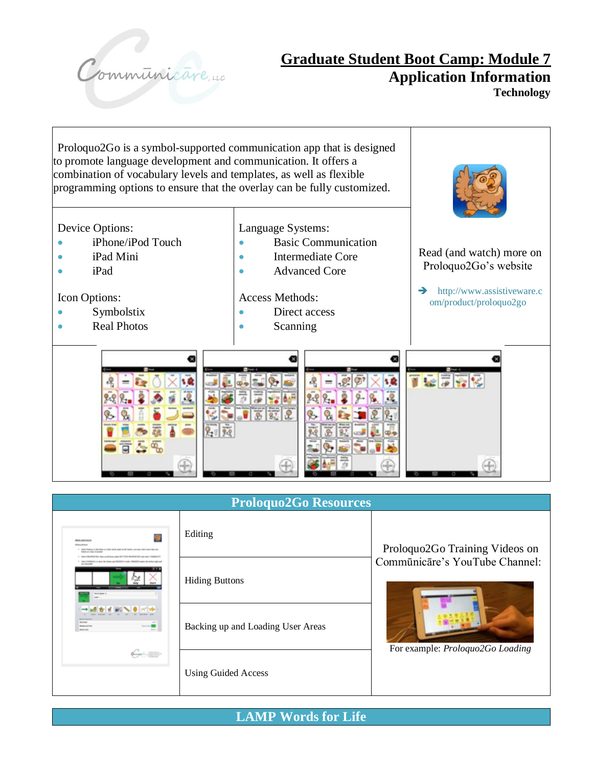

Proloquo2Go is a symbol-supported communication app that is designed to promote language development and communication. It offers a combination of vocabulary levels and templates, as well as flexible programming options to ensure that the overlay can be fully customized. Device Options: Language Systems: • iPhone/iPod Touch • Basic Communication Read (and watch) more on • iPad Mini • Intermediate Core Proloquo2Go's website • iPad • **Advanced Core** ➔ http://www.assistiveware.c Icon Options: Access Methods: om/product/proloquo2go • Symbolstix • Direct access • Real Photos **Scanning** ø G 18  $.9$ 9.9  $\circ$ G.,  $F = \frac{1}{2}$ q,

| <b>Proloquo2Go Resources</b>                                                                                                                                                                                                                                                                                                                                                                                                                                                                    |                                   |                                  |  |  |
|-------------------------------------------------------------------------------------------------------------------------------------------------------------------------------------------------------------------------------------------------------------------------------------------------------------------------------------------------------------------------------------------------------------------------------------------------------------------------------------------------|-----------------------------------|----------------------------------|--|--|
| <b>FRIDA AND LOCAL</b><br><b>Holing Boltom</b><br>. Adam hattas or hat has a citier deal and as he later, course who saw has no<br><b>Saltan Avrilea standard</b><br>. Adam PROFESSION, Any conditions sale MCTOON PROPERTIES and play 196963.27<br>1 Information of the state and any of the ball of the state of the state of the state of the last the last test of<br>an observer<br><b>Service Service</b><br><b>Market</b><br>$- - 1$<br><b>Bulletin File</b><br><b>British</b><br>64.500 | Editing                           | Proloquo2Go Training Videos on   |  |  |
|                                                                                                                                                                                                                                                                                                                                                                                                                                                                                                 | <b>Hiding Buttons</b>             | Commūnicāre's YouTube Channel:   |  |  |
|                                                                                                                                                                                                                                                                                                                                                                                                                                                                                                 | Backing up and Loading User Areas | For example: Proloquo2Go Loading |  |  |
|                                                                                                                                                                                                                                                                                                                                                                                                                                                                                                 | <b>Using Guided Access</b>        |                                  |  |  |

**LAMP Words for Life**